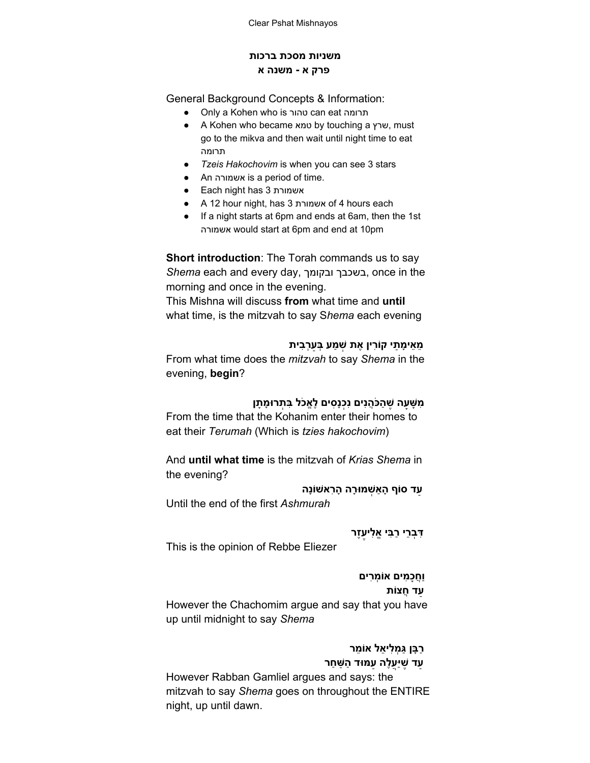#### **משניות מסכת ברכות פרק א משנה א**

General Background Concepts & Information:

- Only a Kohen who is טהור can eat תרומה
- A Kohen who became טמא by touching a שרץ, must go to the mikva and then wait until night time to eat תרומה
- *Tzeis Hakochovim* is when you can see 3 stars
- An אשמורה is a period of time.
- Each night has 3 אשמורת
- A 12 hour night, has 3 אשמורת of 4 hours each
- If a night starts at 6pm and ends at 6am, then the 1st אשמורה would start at 6pm and end at 10pm

**Short introduction**: The Torah commands us to say *Shema* each and every day, ובקומך בשכבך, once in the morning and once in the evening.

This Mishna will discuss **from** what time and **until** what time, is the mitzvah to say S*hema* each evening

#### **ֵמֵאיָמ ַתי קוִֹרין ֶאת ְשׁ ַמע ְבַּעְרִבית**

From what time does the *mitzvah* to say *Shema* in the evening, **begin**?

## **ִמ ָשָּׁעה ֶשׁ ַהכֲֹּהנִים נְִכנִָסים ֶלֱאכֹל ִבּ ְתרוָּמ ָתן**

From the time that the Kohanim enter their homes to eat their *Terumah* (Which is *tzies hakochovim*)

And **until what time** is the mitzvah of *Krias Shema* in the evening?

**ַעד סוֹף ָהאַ ְשׁמוָּרה ָהִראשׁוֹנָה**

Until the end of the first *Ashmurah*

**ֶעֶזר ִדְּבֵרי ַרִבּי ֱאִלי**

This is the opinion of Rebbe Eliezer

**וֲַחָכ ִמים אוְֹמִרים ַעד ֲחצוֹת**

However the Chachomim argue and say that you have up until midnight to say *Shema*

# **ַרָבּן ַגּ ְמִליֵאל אוֵֹמר**

**ֲעֶלה ַעמּוּד ַה ַשּׁ ַחר ַעד ֶשׁיַּ**

However Rabban Gamliel argues and says: the mitzvah to say *Shema* goes on throughout the ENTIRE night, up until dawn.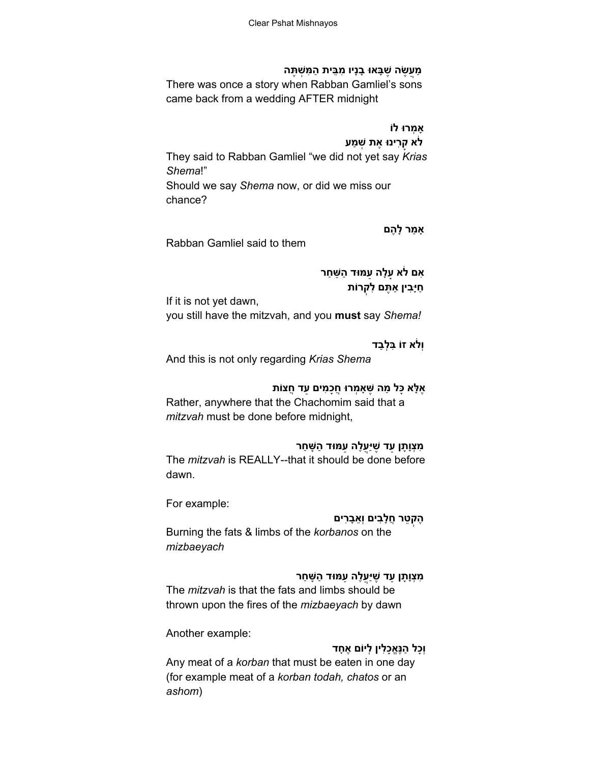#### **ַמֲע ֶשׂה ֶשָׁבּאוּ ָבנָיו ִמֵבּית ַה ִמּ ְשׁ ֶתּה**

There was once a story when Rabban Gamliel's sons came back from a wedding AFTER midnight

# **אָ ְמרוּ לוֹ**

**לֹא ָקִרינוּ ֶאת ְשׁ ַמע** They said to Rabban Gamliel "we did not yet say *Krias Shema*!" Should we say *Shema* now, or did we miss our chance?

#### **אָ ַמר ָל ֶהם**

Rabban Gamliel said to them

**ִאם לֹא ָעָלה ַעמּוּד ַה ַשּׁ ַחר ַחיִָּבין אַ ֶתּם ִל ְקרוֹת**

If it is not yet dawn, you still have the mitzvah, and you **must** say *Shema!*

#### **וְלֹא זוֹ ִבְּלַבד**

And this is not only regarding *Krias Shema*

#### **ֶאָלּא ָכּל ַמה ֶשּׁאָ ְמרוּ ֲחָכ ִמים ַעד ֲחצוֹת**

Rather, anywhere that the Chachomim said that a *mitzvah* must be done before midnight,

## **ֲעֶלה ַעמּוּד ַה ָשּׁ ַחר ִמְצוָָתן ַעד ֶשׁיַּ**

The *mitzvah* is REALLY--that it should be done before dawn.

For example:

#### **ֶהְק ֵטר ֲחָלִבים וְֵאָבִרים**

Burning the fats & limbs of the *korbanos* on the *mizbaeyach*

# **ֲעֶלה ַעמּוּד ַה ָשּׁ ַחר ִמְצוָָתן ַעד ֶשׁיַּ**

The *mitzvah* is that the fats and limbs should be thrown upon the fires of the *mizbaeyach* by dawn

Another example:

## **וְָכל ַהנֱֶּאָכִלין ְליוֹם ֶא ָחד**

Any meat of a *korban* that must be eaten in one day (for example meat of a *korban todah, chatos* or an *ashom*)